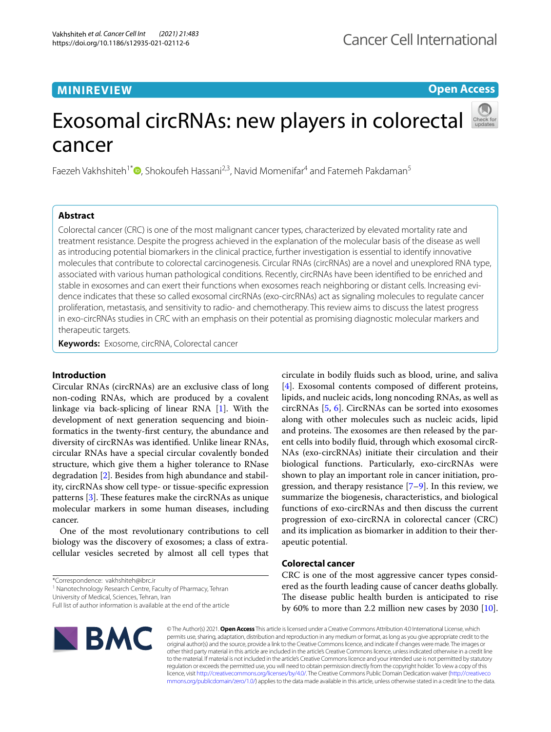# **MINIREVIEW**

**Open Access**

# Exosomal circRNAs: new players in colorectal cancer

Faezeh Vakhshiteh<sup>1\*</sup> D. Shokoufeh Hassani<sup>2,3</sup>[,](http://orcid.org/0000-0001-9449-3595) Navid Momenifar<sup>4</sup> and Fatemeh Pakdaman<sup>5</sup>

# **Abstract**

Colorectal cancer (CRC) is one of the most malignant cancer types, characterized by elevated mortality rate and treatment resistance. Despite the progress achieved in the explanation of the molecular basis of the disease as well as introducing potential biomarkers in the clinical practice, further investigation is essential to identify innovative molecules that contribute to colorectal carcinogenesis. Circular RNAs (circRNAs) are a novel and unexplored RNA type, associated with various human pathological conditions. Recently, circRNAs have been identifed to be enriched and stable in exosomes and can exert their functions when exosomes reach neighboring or distant cells. Increasing evidence indicates that these so called exosomal circRNAs (exo-circRNAs) act as signaling molecules to regulate cancer proliferation, metastasis, and sensitivity to radio- and chemotherapy. This review aims to discuss the latest progress in exo-circRNAs studies in CRC with an emphasis on their potential as promising diagnostic molecular markers and therapeutic targets.

**Keywords:** Exosome, circRNA, Colorectal cancer

# **Introduction**

Circular RNAs (circRNAs) are an exclusive class of long non-coding RNAs, which are produced by a covalent linkage via back-splicing of linear RNA [[1](#page-7-0)]. With the development of next generation sequencing and bioinformatics in the twenty-frst century, the abundance and diversity of circRNAs was identifed. Unlike linear RNAs, circular RNAs have a special circular covalently bonded structure, which give them a higher tolerance to RNase degradation [\[2](#page-7-1)]. Besides from high abundance and stability, circRNAs show cell type- or tissue-specifc expression patterns  $[3]$  $[3]$ . These features make the circRNAs as unique molecular markers in some human diseases, including cancer.

One of the most revolutionary contributions to cell biology was the discovery of exosomes; a class of extracellular vesicles secreted by almost all cell types that

<sup>1</sup> Nanotechnology Research Centre, Faculty of Pharmacy, Tehran

University of Medical, Sciences, Tehran, Iran

Full list of author information is available at the end of the article



circulate in bodily fuids such as blood, urine, and saliva [[4\]](#page-7-3). Exosomal contents composed of diferent proteins, lipids, and nucleic acids, long noncoding RNAs, as well as circRNAs [[5,](#page-7-4) [6](#page-7-5)]. CircRNAs can be sorted into exosomes along with other molecules such as nucleic acids, lipid and proteins. The exosomes are then released by the parent cells into bodily fuid, through which exosomal circR-NAs (exo-circRNAs) initiate their circulation and their biological functions. Particularly, exo-circRNAs were shown to play an important role in cancer initiation, progression, and therapy resistance [[7–](#page-7-6)[9\]](#page-7-7). In this review, we summarize the biogenesis, characteristics, and biological functions of exo-circRNAs and then discuss the current progression of exo-circRNA in colorectal cancer (CRC) and its implication as biomarker in addition to their therapeutic potential.

# **Colorectal cancer**

CRC is one of the most aggressive cancer types considered as the fourth leading cause of cancer deaths globally. The disease public health burden is anticipated to rise by 60% to more than 2.2 million new cases by 2030 [\[10](#page-7-8)].

© The Author(s) 2021. **Open Access** This article is licensed under a Creative Commons Attribution 4.0 International License, which permits use, sharing, adaptation, distribution and reproduction in any medium or format, as long as you give appropriate credit to the original author(s) and the source, provide a link to the Creative Commons licence, and indicate if changes were made. The images or other third party material in this article are included in the article's Creative Commons licence, unless indicated otherwise in a credit line to the material. If material is not included in the article's Creative Commons licence and your intended use is not permitted by statutory regulation or exceeds the permitted use, you will need to obtain permission directly from the copyright holder. To view a copy of this licence, visit [http://creativecommons.org/licenses/by/4.0/.](http://creativecommons.org/licenses/by/4.0/) The Creative Commons Public Domain Dedication waiver ([http://creativeco](http://creativecommons.org/publicdomain/zero/1.0/) [mmons.org/publicdomain/zero/1.0/](http://creativecommons.org/publicdomain/zero/1.0/)) applies to the data made available in this article, unless otherwise stated in a credit line to the data.

<sup>\*</sup>Correspondence: vakhshiteh@ibrc.ir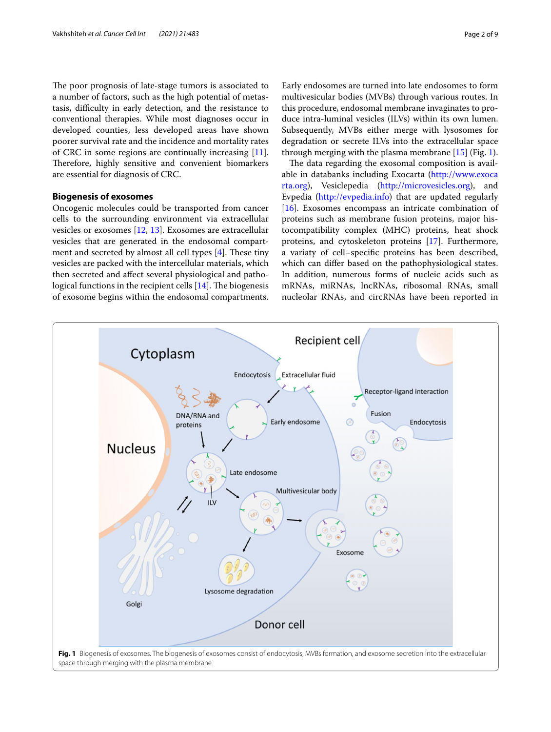The poor prognosis of late-stage tumors is associated to a number of factors, such as the high potential of metastasis, difficulty in early detection, and the resistance to conventional therapies. While most diagnoses occur in developed counties, less developed areas have shown poorer survival rate and the incidence and mortality rates of CRC in some regions are continually increasing [\[11](#page-7-9)]. Therefore, highly sensitive and convenient biomarkers are essential for diagnosis of CRC.

# **Biogenesis of exosomes**

Oncogenic molecules could be transported from cancer cells to the surrounding environment via extracellular vesicles or exosomes [[12,](#page-7-10) [13](#page-7-11)]. Exosomes are extracellular vesicles that are generated in the endosomal compartment and secreted by almost all cell types  $[4]$  $[4]$ . These tiny vesicles are packed with the intercellular materials, which then secreted and afect several physiological and pathological functions in the recipient cells  $[14]$  $[14]$ . The biogenesis of exosome begins within the endosomal compartments. Early endosomes are turned into late endosomes to form multivesicular bodies (MVBs) through various routes. In this procedure, endosomal membrane invaginates to produce intra-luminal vesicles (ILVs) within its own lumen. Subsequently, MVBs either merge with lysosomes for degradation or secrete ILVs into the extracellular space through merging with the plasma membrane  $[15]$  $[15]$  (Fig. [1](#page-1-0)).

The data regarding the exosomal composition is available in databanks including Exocarta [\(http://www.exoca](http://www.exocarta.org) [rta.org](http://www.exocarta.org)), Vesiclepedia [\(http://microvesicles.org](http://microvesicles.org)), and Evpedia [\(http://evpedia.info\)](http://evpedia.info) that are updated regularly [[16\]](#page-7-14). Exosomes encompass an intricate combination of proteins such as membrane fusion proteins, major histocompatibility complex (MHC) proteins, heat shock proteins, and cytoskeleton proteins [[17\]](#page-7-15). Furthermore, a variaty of cell–specifc proteins has been described, which can difer based on the pathophysiological states. In addition, numerous forms of nucleic acids such as mRNAs, miRNAs, lncRNAs, ribosomal RNAs, small nucleolar RNAs, and circRNAs have been reported in

<span id="page-1-0"></span>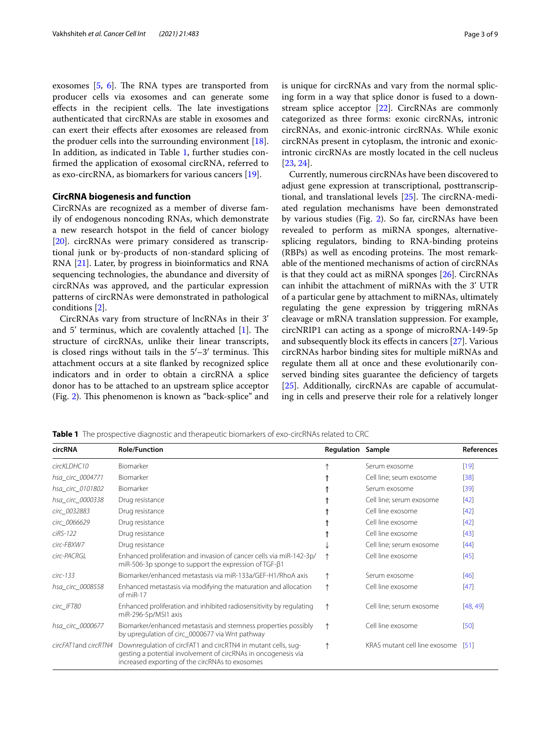exosomes  $[5, 6]$  $[5, 6]$  $[5, 6]$  $[5, 6]$ . The RNA types are transported from producer cells via exosomes and can generate some effects in the recipient cells. The late investigations authenticated that circRNAs are stable in exosomes and can exert their efects after exosomes are released from the produer cells into the surrounding environment [\[18](#page-7-16)]. In addition, as indicated in Table [1,](#page-2-0) further studies confrmed the application of exosomal circRNA, referred to as exo-circRNA, as biomarkers for various cancers [[19](#page-7-17)].

## **CircRNA biogenesis and function**

CircRNAs are recognized as a member of diverse family of endogenous noncoding RNAs, which demonstrate a new research hotspot in the feld of cancer biology [[20\]](#page-7-18). circRNAs were primary considered as transcriptional junk or by-products of non-standard splicing of RNA [\[21](#page-7-19)]. Later, by progress in bioinformatics and RNA sequencing technologies, the abundance and diversity of circRNAs was approved, and the particular expression patterns of circRNAs were demonstrated in pathological conditions [\[2](#page-7-1)].

CircRNAs vary from structure of lncRNAs in their 3' and 5' terminus, which are covalently attached  $[1]$  $[1]$ . The structure of circRNAs, unlike their linear transcripts, is closed rings without tails in the  $5'-3'$  terminus. This attachment occurs at a site fanked by recognized splice indicators and in order to obtain a circRNA a splice donor has to be attached to an upstream splice acceptor (Fig. [2](#page-3-0)). This phenomenon is known as "back-splice" and is unique for circRNAs and vary from the normal splicing form in a way that splice donor is fused to a downstream splice acceptor [[22](#page-7-20)]. CircRNAs are commonly categorized as three forms: exonic circRNAs, intronic circRNAs, and exonic-intronic circRNAs. While exonic circRNAs present in cytoplasm, the intronic and exonicintronic circRNAs are mostly located in the cell nucleus [[23,](#page-7-21) [24](#page-7-22)].

Currently, numerous circRNAs have been discovered to adjust gene expression at transcriptional, posttranscriptional, and translational levels  $[25]$  $[25]$ . The circRNA-mediated regulation mechanisms have been demonstrated by various studies (Fig. [2\)](#page-3-0). So far, circRNAs have been revealed to perform as miRNA sponges, alternativesplicing regulators, binding to RNA-binding proteins (RBPs) as well as encoding proteins. The most remarkable of the mentioned mechanisms of action of circRNAs is that they could act as miRNA sponges [\[26](#page-7-24)]. CircRNAs can inhibit the attachment of miRNAs with the 3' UTR of a particular gene by attachment to miRNAs, ultimately regulating the gene expression by triggering mRNAs cleavage or mRNA translation suppression. For example, circNRIP1 can acting as a sponge of microRNA-149-5p and subsequently block its efects in cancers [[27\]](#page-7-25). Various circRNAs harbor binding sites for multiple miRNAs and regulate them all at once and these evolutionarily conserved binding sites guarantee the deficiency of targets [[25\]](#page-7-23). Additionally, circRNAs are capable of accumulating in cells and preserve their role for a relatively longer

<span id="page-2-0"></span>

|  |  | <b>Table 1</b> The prospective diagnostic and therapeutic biomarkers of exo-circRNAs related to CRC |  |
|--|--|-----------------------------------------------------------------------------------------------------|--|
|  |  |                                                                                                     |  |

| circRNA               | <b>Role/Function</b>                                                                                                                                                               | <b>Regulation Sample</b> |                               | <b>References</b> |
|-----------------------|------------------------------------------------------------------------------------------------------------------------------------------------------------------------------------|--------------------------|-------------------------------|-------------------|
| circKLDHC10           | Biomarker                                                                                                                                                                          |                          | Serum exosome                 | $[19]$            |
| hsa_circ_0004771      | Biomarker                                                                                                                                                                          |                          | Cell line; seum exosome       | $[38]$            |
| hsa_circ_0101802      | Biomarker                                                                                                                                                                          |                          | Serum exosome                 | $[39]$            |
| hsa_circ_0000338      | Drug resistance                                                                                                                                                                    |                          | Cell line; serum exosome      | $[42]$            |
| circ_0032883          | Drug resistance                                                                                                                                                                    |                          | Cell line exosome             | [42]              |
| circ_0066629          | Drug resistance                                                                                                                                                                    |                          | Cell line exosome             | [42]              |
| $ciRS-122$            | Drug resistance                                                                                                                                                                    |                          | Cell line exosome             | [43]              |
| circ-FBXW7            | Drug resistance                                                                                                                                                                    |                          | Cell line; serum exosome      | $[44]$            |
| circ-PACRGL           | Enhanced proliferation and invasion of cancer cells via miR-142-3p/<br>miR-506-3p sponge to support the expression of $TGF-β1$                                                     | ↑                        | Cell line exosome             | [45]              |
| $circ-133$            | Biomarker/enhanced metastasis via miR-133a/GEF-H1/RhoA axis                                                                                                                        | ↑                        | Serum exosome                 | $[46]$            |
| hsa_circ_0008558      | Enhanced metastasis via modifying the maturation and allocation<br>$of miR-17$                                                                                                     | ↑                        | Cell line exosome             | $[47]$            |
| circ_IFT80            | Enhanced proliferation and inhibited radiosensitivity by regulating<br>miR-296-5p/MSI1 axis                                                                                        | ↑                        | Cell line; serum exosome      | [48, 49]          |
| hsa_circ_0000677      | Biomarker/enhanced metastasis and stemness properties possibly<br>by upregulation of circ_0000677 via Wnt pathway                                                                  | ↑                        | Cell line exosome             | [50]              |
| circFAT1 and circRTN4 | Downregulation of circFAT1 and circRTN4 in mutant cells, sug-<br>gesting a potential involvement of circRNAs in oncogenesis via<br>increased exporting of the circRNAs to exosomes |                          | KRAS mutant cell line exosome | [51]              |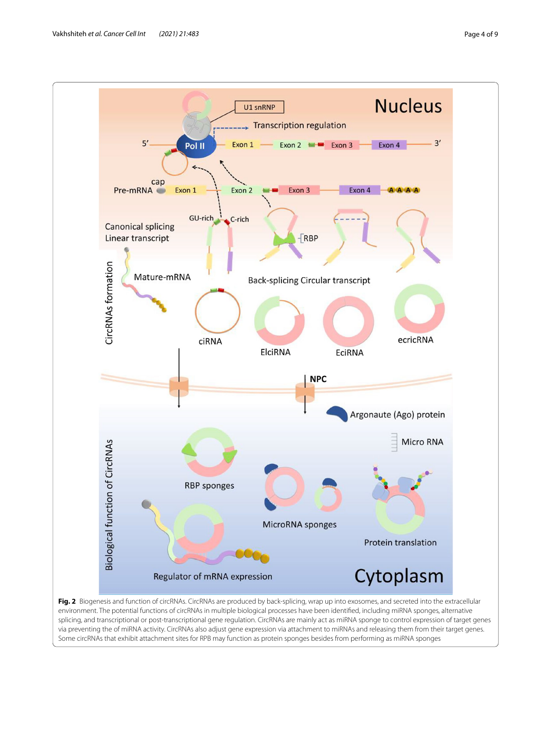

<span id="page-3-0"></span>environment. The potential functions of circRNAs in multiple biological processes have been identifed, including miRNA sponges, alternative splicing, and transcriptional or post-transcriptional gene regulation. CircRNAs are mainly act as miRNA sponge to control expression of target genes via preventing the of miRNA activity. CircRNAs also adjust gene expression via attachment to miRNAs and releasing them from their target genes. Some circRNAs that exhibit attachment sites for RPB may function as protein sponges besides from performing as miRNA sponges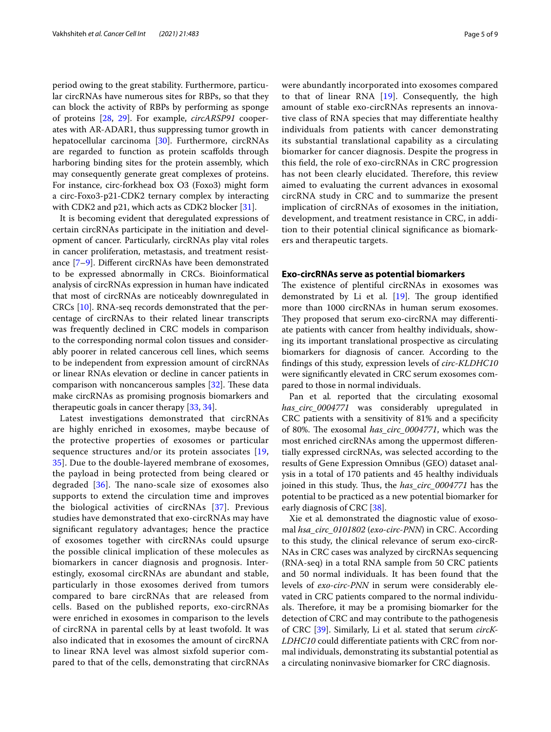period owing to the great stability. Furthermore, particular circRNAs have numerous sites for RBPs, so that they can block the activity of RBPs by performing as sponge of proteins [[28,](#page-7-35) [29](#page-7-36)]. For example, *circARSP91* cooperates with AR-ADAR1, thus suppressing tumor growth in hepatocellular carcinoma [[30\]](#page-7-37). Furthermore, circRNAs are regarded to function as protein scafolds through harboring binding sites for the protein assembly, which may consequently generate great complexes of proteins. For instance, circ-forkhead box O3 (Foxo3) might form a circ-Foxo3-p21-CDK2 ternary complex by interacting with CDK2 and p21, which acts as CDK2 blocker [\[31](#page-7-38)].

It is becoming evident that deregulated expressions of certain circRNAs participate in the initiation and development of cancer. Particularly, circRNAs play vital roles in cancer proliferation, metastasis, and treatment resistance [[7–](#page-7-6)[9\]](#page-7-7). Diferent circRNAs have been demonstrated to be expressed abnormally in CRCs. Bioinformatical analysis of circRNAs expression in human have indicated that most of circRNAs are noticeably downregulated in CRCs [\[10](#page-7-8)]. RNA-seq records demonstrated that the percentage of circRNAs to their related linear transcripts was frequently declined in CRC models in comparison to the corresponding normal colon tissues and considerably poorer in related cancerous cell lines, which seems to be independent from expression amount of circRNAs or linear RNAs elevation or decline in cancer patients in comparison with noncancerous samples  $[32]$ . These data make circRNAs as promising prognosis biomarkers and therapeutic goals in cancer therapy [[33,](#page-7-40) [34](#page-7-41)].

Latest investigations demonstrated that circRNAs are highly enriched in exosomes, maybe because of the protective properties of exosomes or particular sequence structures and/or its protein associates [\[19](#page-7-17), [35\]](#page-7-42). Due to the double-layered membrane of exosomes, the payload in being protected from being cleared or degraded  $[36]$  $[36]$ . The nano-scale size of exosomes also supports to extend the circulation time and improves the biological activities of circRNAs [\[37](#page-7-44)]. Previous studies have demonstrated that exo-circRNAs may have signifcant regulatory advantages; hence the practice of exosomes together with circRNAs could upsurge the possible clinical implication of these molecules as biomarkers in cancer diagnosis and prognosis. Interestingly, exosomal circRNAs are abundant and stable, particularly in those exosomes derived from tumors compared to bare circRNAs that are released from cells. Based on the published reports, exo-circRNAs were enriched in exosomes in comparison to the levels of circRNA in parental cells by at least twofold. It was also indicated that in exosomes the amount of circRNA to linear RNA level was almost sixfold superior compared to that of the cells, demonstrating that circRNAs

were abundantly incorporated into exosomes compared to that of linear RNA [\[19\]](#page-7-17). Consequently, the high amount of stable exo-circRNAs represents an innovative class of RNA species that may diferentiate healthy individuals from patients with cancer demonstrating its substantial translational capability as a circulating biomarker for cancer diagnosis. Despite the progress in this feld, the role of exo-circRNAs in CRC progression has not been clearly elucidated. Therefore, this review aimed to evaluating the current advances in exosomal circRNA study in CRC and to summarize the present implication of circRNAs of exosomes in the initiation, development, and treatment resistance in CRC, in addition to their potential clinical signifcance as biomarkers and therapeutic targets.

## **Exo‑circRNAs serve as potential biomarkers**

The existence of plentiful circRNAs in exosomes was demonstrated by Li et al.  $[19]$  $[19]$ . The group identified more than 1000 circRNAs in human serum exosomes. They proposed that serum exo-circRNA may differentiate patients with cancer from healthy individuals, showing its important translational prospective as circulating biomarkers for diagnosis of cancer. According to the fndings of this study, expression levels of *circ-KLDHC10* were signifcantly elevated in CRC serum exosomes compared to those in normal individuals.

Pan et al*.* reported that the circulating exosomal *has\_circ\_0004771* was considerably upregulated in CRC patients with a sensitivity of 81% and a specifcity of 80%. The exosomal has\_circ\_0004771, which was the most enriched circRNAs among the uppermost diferentially expressed circRNAs, was selected according to the results of Gene Expression Omnibus (GEO) dataset analysis in a total of 170 patients and 45 healthy individuals joined in this study. Thus, the *has\_circ\_0004771* has the potential to be practiced as a new potential biomarker for early diagnosis of CRC [[38\]](#page-7-26).

Xie et al*.* demonstrated the diagnostic value of exosomal *hsa\_circ\_0101802* (*exo-circ-PNN*) in CRC. According to this study, the clinical relevance of serum exo-circR-NAs in CRC cases was analyzed by circRNAs sequencing (RNA-seq) in a total RNA sample from 50 CRC patients and 50 normal individuals. It has been found that the levels of *exo-circ-PNN* in serum were considerably elevated in CRC patients compared to the normal individuals. Therefore, it may be a promising biomarker for the detection of CRC and may contribute to the pathogenesis of CRC [\[39](#page-7-27)]. Similarly, Li et al. stated that serum *circK-LDHC10* could diferentiate patients with CRC from normal individuals, demonstrating its substantial potential as a circulating noninvasive biomarker for CRC diagnosis.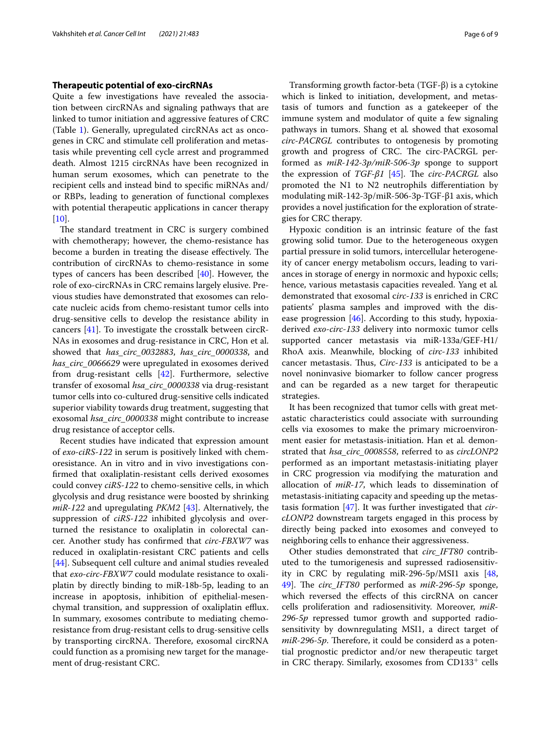## **Therapeutic potential of exo‑circRNAs**

Quite a few investigations have revealed the association between circRNAs and signaling pathways that are linked to tumor initiation and aggressive features of CRC (Table [1\)](#page-2-0). Generally, upregulated circRNAs act as oncogenes in CRC and stimulate cell proliferation and metastasis while preventing cell cycle arrest and programmed death. Almost 1215 circRNAs have been recognized in human serum exosomes, which can penetrate to the recipient cells and instead bind to specifc miRNAs and/ or RBPs, leading to generation of functional complexes with potential therapeutic applications in cancer therapy  $[10]$  $[10]$ .

The standard treatment in CRC is surgery combined with chemotherapy; however, the chemo-resistance has become a burden in treating the disease effectively. The contribution of circRNAs to chemo-resistance in some types of cancers has been described [\[40](#page-7-45)]. However, the role of exo-circRNAs in CRC remains largely elusive. Previous studies have demonstrated that exosomes can relocate nucleic acids from chemo-resistant tumor cells into drug-sensitive cells to develop the resistance ability in cancers [[41\]](#page-7-46). To investigate the crosstalk between circR-NAs in exosomes and drug-resistance in CRC, Hon et al. showed that *has\_circ\_0032883*, *has\_circ\_0000338*, and *has\_circ\_0066629* were upregulated in exosomes derived from drug-resistant cells [[42](#page-7-28)]. Furthermore, selective transfer of exosomal *hsa\_circ\_0000338* via drug-resistant tumor cells into co-cultured drug-sensitive cells indicated superior viability towards drug treatment, suggesting that exosomal *hsa\_circ\_0000338* might contribute to increase drug resistance of acceptor cells.

Recent studies have indicated that expression amount of *exo-ciRS-122* in serum is positively linked with chemoresistance. An in vitro and in vivo investigations confrmed that oxaliplatin-resistant cells derived exosomes could convey *ciRS-122* to chemo-sensitive cells, in which glycolysis and drug resistance were boosted by shrinking *miR-122* and upregulating *PKM2* [\[43](#page-7-29)]. Alternatively, the suppression of *ciRS-122* inhibited glycolysis and overturned the resistance to oxaliplatin in colorectal cancer. Another study has confrmed that *circ-FBXW7* was reduced in oxaliplatin-resistant CRC patients and cells [[44\]](#page-7-30). Subsequent cell culture and animal studies revealed that *exo-circ-FBXW7* could modulate resistance to oxaliplatin by directly binding to miR-18b-5p, leading to an increase in apoptosis, inhibition of epithelial-mesenchymal transition, and suppression of oxaliplatin efflux. In summary, exosomes contribute to mediating chemoresistance from drug-resistant cells to drug-sensitive cells by transporting circRNA. Therefore, exosomal circRNA could function as a promising new target for the management of drug-resistant CRC.

Transforming growth factor-beta (TGF-β) is a cytokine which is linked to initiation, development, and metastasis of tumors and function as a gatekeeper of the immune system and modulator of quite a few signaling pathways in tumors. Shang et al*.* showed that exosomal *circ-PACRGL* contributes to ontogenesis by promoting growth and progress of CRC. The circ-PACRGL performed as *miR-142-3p/miR-506-3p* sponge to support the expression of *TGF-β1* [\[45](#page-7-31)]. The *circ-PACRGL* also promoted the N1 to N2 neutrophils diferentiation by modulating miR-142-3p/miR-506-3p-TGF-β1 axis, which provides a novel justifcation for the exploration of strategies for CRC therapy.

Hypoxic condition is an intrinsic feature of the fast growing solid tumor. Due to the heterogeneous oxygen partial pressure in solid tumors, intercellular heterogeneity of cancer energy metabolism occurs, leading to variances in storage of energy in normoxic and hypoxic cells; hence, various metastasis capacities revealed. Yang et al*.* demonstrated that exosomal c*irc-133* is enriched in CRC patients' plasma samples and improved with the disease progression [\[46](#page-7-32)]. According to this study, hypoxiaderived *exo-circ-133* delivery into normoxic tumor cells supported cancer metastasis via miR-133a/GEF-H1/ RhoA axis. Meanwhile, blocking of *circ-133* inhibited cancer metastasis. Thus, *Circ-133* is anticipated to be a novel noninvasive biomarker to follow cancer progress and can be regarded as a new target for therapeutic strategies.

It has been recognized that tumor cells with great metastatic characteristics could associate with surrounding cells via exosomes to make the primary microenvironment easier for metastasis-initiation. Han et al*.* demonstrated that *hsa\_circ\_0008558*, referred to as *circLONP2* performed as an important metastasis-initiating player in CRC progression via modifying the maturation and allocation of *miR-17*, which leads to dissemination of metastasis-initiating capacity and speeding up the metastasis formation [[47](#page-7-33)]. It was further investigated that *circLONP2* downstream targets engaged in this process by directly being packed into exosomes and conveyed to neighboring cells to enhance their aggressiveness.

Other studies demonstrated that *circ\_IFT80* contributed to the tumorigenesis and supressed radiosensitivity in CRC by regulating miR-296-5p/MSI1 axis [[48](#page-7-34), [49\]](#page-8-0). The *circ\_IFT80* performed as *miR-296-5p* sponge, which reversed the effects of this circRNA on cancer cells proliferation and radiosensitivity. Moreover, *miR-296-5p* repressed tumor growth and supported radiosensitivity by downregulating MSI1, a direct target of *miR-296-5p*. Therefore, it could be considerd as a potential prognostic predictor and/or new therapeutic target in CRC therapy. Similarly, exosomes from  $CD133<sup>+</sup>$  cells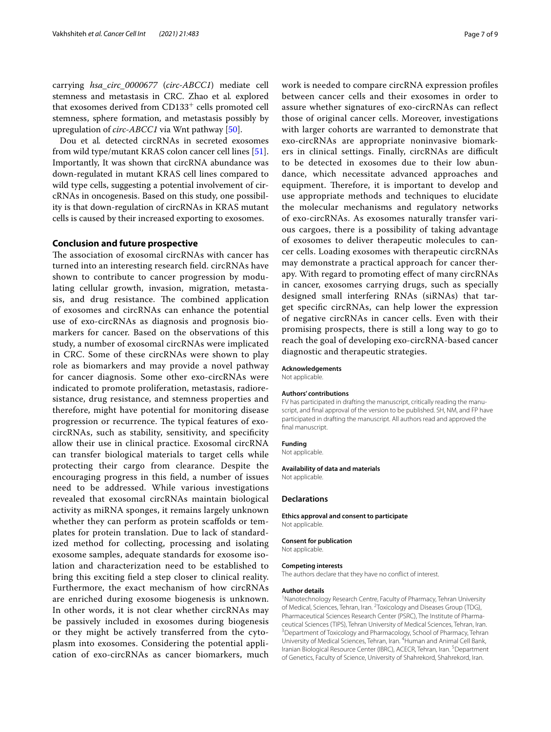carrying *hsa\_circ\_0000677* (*circ-ABCC1*) mediate cell stemness and metastasis in CRC. Zhao et al*.* explored that exosomes derived from CD133<sup>+</sup> cells promoted cell stemness, sphere formation, and metastasis possibly by upregulation of *circ-ABCC1* via Wnt pathway [[50\]](#page-8-1).

Dou et al*.* detected circRNAs in secreted exosomes from wild type/mutant KRAS colon cancer cell lines [\[51](#page-8-2)]. Importantly, It was shown that circRNA abundance was down-regulated in mutant KRAS cell lines compared to wild type cells, suggesting a potential involvement of circRNAs in oncogenesis. Based on this study, one possibility is that down-regulation of circRNAs in KRAS mutant cells is caused by their increased exporting to exosomes.

## **Conclusion and future prospective**

The association of exosomal circRNAs with cancer has turned into an interesting research feld. circRNAs have shown to contribute to cancer progression by modulating cellular growth, invasion, migration, metastasis, and drug resistance. The combined application of exosomes and circRNAs can enhance the potential use of exo-circRNAs as diagnosis and prognosis biomarkers for cancer. Based on the observations of this study, a number of exosomal circRNAs were implicated in CRC. Some of these circRNAs were shown to play role as biomarkers and may provide a novel pathway for cancer diagnosis. Some other exo-circRNAs were indicated to promote proliferation, metastasis, radioresistance, drug resistance, and stemness properties and therefore, might have potential for monitoring disease progression or recurrence. The typical features of exocircRNAs, such as stability, sensitivity, and specifcity allow their use in clinical practice. Exosomal circRNA can transfer biological materials to target cells while protecting their cargo from clearance. Despite the encouraging progress in this feld, a number of issues need to be addressed. While various investigations revealed that exosomal circRNAs maintain biological activity as miRNA sponges, it remains largely unknown whether they can perform as protein scaffolds or templates for protein translation. Due to lack of standardized method for collecting, processing and isolating exosome samples, adequate standards for exosome isolation and characterization need to be established to bring this exciting feld a step closer to clinical reality. Furthermore, the exact mechanism of how circRNAs are enriched during exosome biogenesis is unknown. In other words, it is not clear whether circRNAs may be passively included in exosomes during biogenesis or they might be actively transferred from the cytoplasm into exosomes. Considering the potential application of exo-circRNAs as cancer biomarkers, much work is needed to compare circRNA expression profles between cancer cells and their exosomes in order to assure whether signatures of exo-circRNAs can refect those of original cancer cells. Moreover, investigations with larger cohorts are warranted to demonstrate that exo-circRNAs are appropriate noninvasive biomarkers in clinical settings. Finally, circRNAs are difficult to be detected in exosomes due to their low abundance, which necessitate advanced approaches and equipment. Therefore, it is important to develop and use appropriate methods and techniques to elucidate the molecular mechanisms and regulatory networks of exo-circRNAs. As exosomes naturally transfer various cargoes, there is a possibility of taking advantage of exosomes to deliver therapeutic molecules to cancer cells. Loading exosomes with therapeutic circRNAs may demonstrate a practical approach for cancer therapy. With regard to promoting efect of many circRNAs in cancer, exosomes carrying drugs, such as specially designed small interfering RNAs (siRNAs) that target specifc circRNAs, can help lower the expression of negative circRNAs in cancer cells. Even with their promising prospects, there is still a long way to go to reach the goal of developing exo-circRNA-based cancer diagnostic and therapeutic strategies.

#### **Acknowledgements**

Not applicable.

#### **Authors' contributions**

FV has participated in drafting the manuscript, critically reading the manuscript, and fnal approval of the version to be published. SH, NM, and FP have participated in drafting the manuscript. All authors read and approved the final manuscript.

#### **Funding**

Not applicable.

#### **Availability of data and materials**

Not applicable.

#### **Declarations**

**Ethics approval and consent to participate** Not applicable.

#### **Consent for publication**

Not applicable.

#### **Competing interests**

The authors declare that they have no confict of interest.

#### **Author details**

<sup>1</sup> Nanotechnology Research Centre, Faculty of Pharmacy, Tehran University of Medical, Sciences, Tehran, Iran. <sup>2</sup> Toxicology and Diseases Group (TDG), Pharmaceutical Sciences Research Center (PSRC), The Institute of Pharmaceutical Sciences (TIPS), Tehran University of Medical Sciences, Tehran, Iran. Department of Toxicology and Pharmacology, School of Pharmacy, Tehran University of Medical Sciences, Tehran, Iran. <sup>4</sup> Human and Animal Cell Bank, Iranian Biological Resource Center (IBRC), ACECR, Tehran, Iran. <sup>5</sup> Department of Genetics, Faculty of Science, University of Shahrekord, Shahrekord, Iran.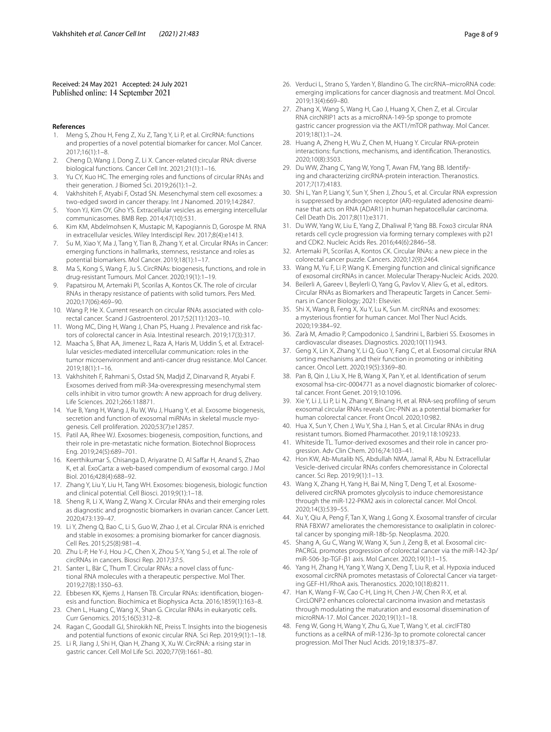Received: 24 May 2021 Accepted: 24 July 2021<br>Published online: 14 September 2021

#### **References**

- <span id="page-7-0"></span>Meng S, Zhou H, Feng Z, Xu Z, Tang Y, Li P, et al. CircRNA: functions and properties of a novel potential biomarker for cancer. Mol Cancer. 2017;16(1):1–8.
- <span id="page-7-1"></span>2. Cheng D, Wang J, Dong Z, Li X. Cancer-related circular RNA: diverse biological functions. Cancer Cell Int. 2021;21(1):1–16.
- <span id="page-7-2"></span>3. Yu CY, Kuo HC. The emerging roles and functions of circular RNAs and their generation. J Biomed Sci. 2019;26(1):1–2.
- <span id="page-7-3"></span>4. Vakhshiteh F, Atyabi F, Ostad SN. Mesenchymal stem cell exosomes: a two-edged sword in cancer therapy. Int J Nanomed. 2019;14:2847.
- <span id="page-7-4"></span>5. Yoon YJ, Kim OY, Gho YS. Extracellular vesicles as emerging intercellular communicasomes. BMB Rep. 2014;47(10):531.
- <span id="page-7-5"></span>6. Kim KM, Abdelmohsen K, Mustapic M, Kapogiannis D, Gorospe M. RNA in extracellular vesicles. Wiley Interdiscipl Rev. 2017;8(4):e1413.
- <span id="page-7-6"></span>7. Su M, Xiao Y, Ma J, Tang Y, Tian B, Zhang Y, et al. Circular RNAs in Cancer: emerging functions in hallmarks, stemness, resistance and roles as potential biomarkers. Mol Cancer. 2019;18(1):1–17.
- 8. Ma S, Kong S, Wang F, Ju S. CircRNAs: biogenesis, functions, and role in drug-resistant Tumours. Mol Cancer. 2020;19(1):1–19.
- <span id="page-7-7"></span>9. Papatsirou M, Artemaki PI, Scorilas A, Kontos CK. The role of circular RNAs in therapy resistance of patients with solid tumors. Pers Med. 2020;17(06):469–90.
- <span id="page-7-8"></span>10. Wang P, He X. Current research on circular RNAs associated with colorectal cancer. Scand J Gastroenterol. 2017;52(11):1203–10.
- <span id="page-7-9"></span>11. Wong MC, Ding H, Wang J, Chan PS, Huang J. Prevalence and risk factors of colorectal cancer in Asia. Intestinal research. 2019;17(3):317.
- <span id="page-7-10"></span>12. Maacha S, Bhat AA, Jimenez L, Raza A, Haris M, Uddin S, et al. Extracellular vesicles-mediated intercellular communication: roles in the tumor microenvironment and anti-cancer drug resistance. Mol Cancer. 2019;18(1):1–16.
- <span id="page-7-11"></span>13. Vakhshiteh F, Rahmani S, Ostad SN, Madjd Z, Dinarvand R, Atyabi F. Exosomes derived from miR-34a-overexpressing mesenchymal stem cells inhibit in vitro tumor growth: A new approach for drug delivery. Life Sciences. 2021;266:118871.
- <span id="page-7-12"></span>14. Yue B, Yang H, Wang J, Ru W, Wu J, Huang Y, et al. Exosome biogenesis, secretion and function of exosomal miRNAs in skeletal muscle myogenesis. Cell proliferation. 2020;53(7):e12857.
- <span id="page-7-13"></span>15. Patil AA, Rhee WJ. Exosomes: biogenesis, composition, functions, and their role in pre-metastatic niche formation. Biotechnol Bioprocess Eng. 2019;24(5):689–701.
- <span id="page-7-14"></span>16. Keerthikumar S, Chisanga D, Ariyaratne D, Al Saffar H, Anand S, Zhao K, et al. ExoCarta: a web-based compendium of exosomal cargo. J Mol Biol. 2016;428(4):688–92.
- <span id="page-7-15"></span>17. Zhang Y, Liu Y, Liu H, Tang WH. Exosomes: biogenesis, biologic function and clinical potential. Cell Biosci. 2019;9(1):1–18.
- <span id="page-7-16"></span>18. Sheng R, Li X, Wang Z, Wang X. Circular RNAs and their emerging roles as diagnostic and prognostic biomarkers in ovarian cancer. Cancer Lett. 2020;473:139–47.
- <span id="page-7-17"></span>19. Li Y, Zheng Q, Bao C, Li S, Guo W, Zhao J, et al. Circular RNA is enriched and stable in exosomes: a promising biomarker for cancer diagnosis. Cell Res. 2015;25(8):981–4.
- <span id="page-7-18"></span>20. Zhu L-P, He Y-J, Hou J-C, Chen X, Zhou S-Y, Yang S-J, et al. The role of circRNAs in cancers. Biosci Rep. 2017;37:5.
- <span id="page-7-19"></span>21. Santer L, Bär C, Thum T. Circular RNAs: a novel class of functional RNA molecules with a therapeutic perspective. Mol Ther. 2019;27(8):1350–63.
- <span id="page-7-20"></span>22. Ebbesen KK, Kjems J, Hansen TB. Circular RNAs: identifcation, biogenesis and function. Biochimica et Biophysica Acta. 2016;1859(1):163–8.
- <span id="page-7-21"></span>23. Chen L, Huang C, Wang X, Shan G. Circular RNAs in eukaryotic cells. Curr Genomics. 2015;16(5):312–8.
- <span id="page-7-22"></span>24. Ragan C, Goodall GJ, Shirokikh NE, Preiss T. Insights into the biogenesis and potential functions of exonic circular RNA. Sci Rep. 2019;9(1):1–18.
- <span id="page-7-23"></span>25. Li R, Jiang J, Shi H, Qian H, Zhang X, Xu W. CircRNA: a rising star in gastric cancer. Cell Mol Life Sci. 2020;77(9):1661–80.
- <span id="page-7-24"></span>26. Verduci L, Strano S, Yarden Y, Blandino G. The circRNA–microRNA code: emerging implications for cancer diagnosis and treatment. Mol Oncol. 2019;13(4):669–80.
- <span id="page-7-25"></span>27. Zhang X, Wang S, Wang H, Cao J, Huang X, Chen Z, et al. Circular RNA circNRIP1 acts as a microRNA-149-5p sponge to promote gastric cancer progression via the AKT1/mTOR pathway. Mol Cancer. 2019;18(1):1–24.
- <span id="page-7-35"></span>28. Huang A, Zheng H, Wu Z, Chen M, Huang Y. Circular RNA-protein interactions: functions, mechanisms, and identifcation. Theranostics. 2020;10(8):3503.
- <span id="page-7-36"></span>29. Du WW, Zhang C, Yang W, Yong T, Awan FM, Yang BB. Identifying and characterizing circRNA-protein interaction. Theranostics. 2017;7(17):4183.
- <span id="page-7-37"></span>30. Shi L, Yan P, Liang Y, Sun Y, Shen J, Zhou S, et al. Circular RNA expression is suppressed by androgen receptor (AR)-regulated adenosine deaminase that acts on RNA (ADAR1) in human hepatocellular carcinoma. Cell Death Dis. 2017;8(11):e3171.
- <span id="page-7-38"></span>31. Du WW, Yang W, Liu E, Yang Z, Dhaliwal P, Yang BB. Foxo3 circular RNA retards cell cycle progression via forming ternary complexes with p21 and CDK2. Nucleic Acids Res. 2016;44(6):2846–58.
- <span id="page-7-39"></span>32. Artemaki PI, Scorilas A, Kontos CK. Circular RNAs: a new piece in the colorectal cancer puzzle. Cancers. 2020;12(9):2464.
- <span id="page-7-40"></span>33. Wang M, Yu F, Li P, Wang K. Emerging function and clinical signifcance of exosomal circRNAs in cancer. Molecular Therapy-Nucleic Acids. 2020.
- <span id="page-7-41"></span>34. Beilerli A, Gareev I, Beylerli O, Yang G, Pavlov V, Aliev G, et al., editors. Circular RNAs as Biomarkers and Therapeutic Targets in Cancer. Seminars in Cancer Biology; 2021: Elsevier.
- <span id="page-7-42"></span>35. Shi X, Wang B, Feng X, Xu Y, Lu K, Sun M. circRNAs and exosomes: a mysterious frontier for human cancer. Mol Ther Nucl Acids. 2020;19:384–92.
- <span id="page-7-43"></span>36. Zarà M, Amadio P, Campodonico J, Sandrini L, Barbieri SS. Exosomes in cardiovascular diseases. Diagnostics. 2020;10(11):943.
- <span id="page-7-44"></span>37. Geng X, Lin X, Zhang Y, Li Q, Guo Y, Fang C, et al. Exosomal circular RNA sorting mechanisms and their function in promoting or inhibiting cancer. Oncol Lett. 2020;19(5):3369–80.
- <span id="page-7-26"></span>38. Pan B, Qin J, Liu X, He B, Wang X, Pan Y, et al. Identifcation of serum exosomal hsa-circ-0004771 as a novel diagnostic biomarker of colorectal cancer. Front Genet. 2019;10:1096.
- <span id="page-7-27"></span>39. Xie Y, Li J, Li P, Li N, Zhang Y, Binang H, et al. RNA-seq profling of serum exosomal circular RNAs reveals Circ-PNN as a potential biomarker for human colorectal cancer. Front Oncol. 2020;10:982.
- <span id="page-7-45"></span>40. Hua X, Sun Y, Chen J, Wu Y, Sha J, Han S, et al. Circular RNAs in drug resistant tumors. Biomed Pharmacother. 2019;118:109233.
- <span id="page-7-46"></span>41. Whiteside TL. Tumor-derived exosomes and their role in cancer progression. Adv Clin Chem. 2016;74:103–41.
- <span id="page-7-28"></span>42. Hon KW, Ab-Mutalib NS, Abdullah NMA, Jamal R, Abu N. Extracellular Vesicle-derived circular RNAs confers chemoresistance in Colorectal cancer. Sci Rep. 2019;9(1):1–13.
- <span id="page-7-29"></span>43. Wang X, Zhang H, Yang H, Bai M, Ning T, Deng T, et al. Exosomedelivered circRNA promotes glycolysis to induce chemoresistance through the miR-122-PKM2 axis in colorectal cancer. Mol Oncol. 2020;14(3):539–55.
- <span id="page-7-30"></span>44. Xu Y, Qiu A, Peng F, Tan X, Wang J, Gong X. Exosomal transfer of circular RNA FBXW7 ameliorates the chemoresistance to oxaliplatin in colorectal cancer by sponging miR-18b-5p. Neoplasma. 2020.
- <span id="page-7-31"></span>45. Shang A, Gu C, Wang W, Wang X, Sun J, Zeng B, et al. Exosomal circ-PACRGL promotes progression of colorectal cancer via the miR-142-3p/ miR-506-3p-TGF-β1 axis. Mol Cancer. 2020;19(1):1–15.
- <span id="page-7-32"></span>46. Yang H, Zhang H, Yang Y, Wang X, Deng T, Liu R, et al. Hypoxia induced exosomal circRNA promotes metastasis of Colorectal Cancer via targeting GEF-H1/RhoA axis. Theranostics. 2020;10(18):8211.
- <span id="page-7-33"></span>47. Han K, Wang F-W, Cao C-H, Ling H, Chen J-W, Chen R-X, et al. CircLONP2 enhances colorectal carcinoma invasion and metastasis through modulating the maturation and exosomal dissemination of microRNA-17. Mol Cancer. 2020;19(1):1–18.
- <span id="page-7-34"></span>48. Feng W, Gong H, Wang Y, Zhu G, Xue T, Wang Y, et al. circIFT80 functions as a ceRNA of miR-1236-3p to promote colorectal cancer progression. Mol Ther Nucl Acids. 2019;18:375–87.